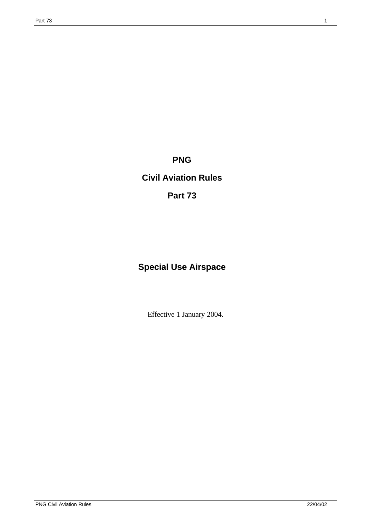**PNG**

## **Civil Aviation Rules**

## **Part 73**

# **Special Use Airspace**

Effective 1 January 2004.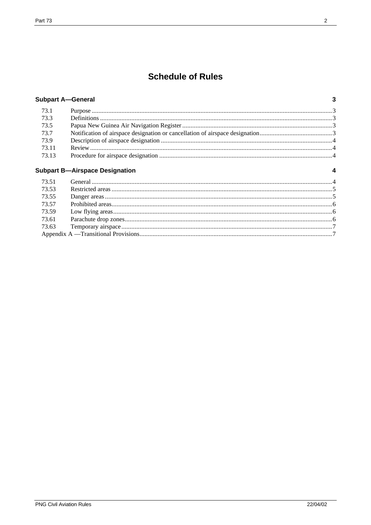## **Schedule of Rules**

|  | <b>Subpart A-General</b> |
|--|--------------------------|
|--|--------------------------|

| 73.1  |  |
|-------|--|
| 73.3  |  |
| 73.5  |  |
| 73.7  |  |
| 73.9  |  |
| 73.11 |  |
| 73.13 |  |

#### **Subpart B-Airspace Designation**

| 73.53 |  |
|-------|--|
| 73.55 |  |
| 73.57 |  |
| 73.59 |  |
|       |  |
|       |  |
|       |  |

 $\overline{\mathbf{3}}$ 

 $\overline{\mathbf{4}}$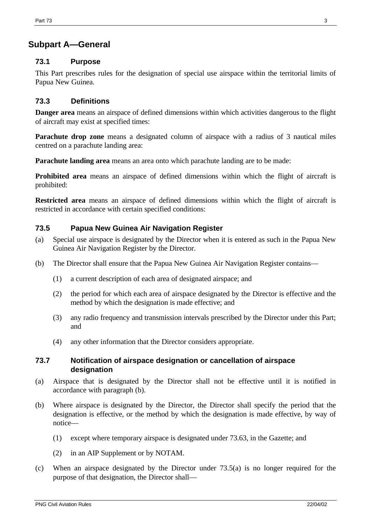### **Subpart A—General**

#### **73.1 Purpose**

This Part prescribes rules for the designation of special use airspace within the territorial limits of Papua New Guinea.

#### **73.3 Definitions**

**Danger area** means an airspace of defined dimensions within which activities dangerous to the flight of aircraft may exist at specified times:

**Parachute drop zone** means a designated column of airspace with a radius of 3 nautical miles centred on a parachute landing area:

**Parachute landing area** means an area onto which parachute landing are to be made:

**Prohibited area** means an airspace of defined dimensions within which the flight of aircraft is prohibited:

**Restricted area** means an airspace of defined dimensions within which the flight of aircraft is restricted in accordance with certain specified conditions:

#### **73.5 Papua New Guinea Air Navigation Register**

- (a) Special use airspace is designated by the Director when it is entered as such in the Papua New Guinea Air Navigation Register by the Director.
- (b) The Director shall ensure that the Papua New Guinea Air Navigation Register contains—
	- (1) a current description of each area of designated airspace; and
	- (2) the period for which each area of airspace designated by the Director is effective and the method by which the designation is made effective; and
	- (3) any radio frequency and transmission intervals prescribed by the Director under this Part; and
	- (4) any other information that the Director considers appropriate.

#### **73.7 Notification of airspace designation or cancellation of airspace designation**

- (a) Airspace that is designated by the Director shall not be effective until it is notified in accordance with paragraph (b).
- (b) Where airspace is designated by the Director, the Director shall specify the period that the designation is effective, or the method by which the designation is made effective, by way of notice—
	- (1) except where temporary airspace is designated under 73.63, in the Gazette; and
	- (2) in an AIP Supplement or by NOTAM.
- (c) When an airspace designated by the Director under 73.5(a) is no longer required for the purpose of that designation, the Director shall—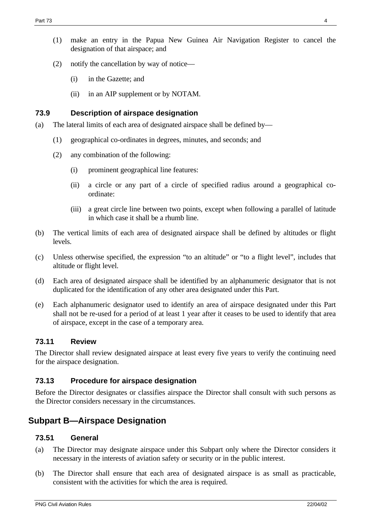- (1) make an entry in the Papua New Guinea Air Navigation Register to cancel the designation of that airspace; and
- (2) notify the cancellation by way of notice—
	- (i) in the Gazette; and
	- (ii) in an AIP supplement or by NOTAM.

#### **73.9 Description of airspace designation**

- (a) The lateral limits of each area of designated airspace shall be defined by—
	- (1) geographical co-ordinates in degrees, minutes, and seconds; and
	- (2) any combination of the following:
		- (i) prominent geographical line features:
		- (ii) a circle or any part of a circle of specified radius around a geographical coordinate:
		- (iii) a great circle line between two points, except when following a parallel of latitude in which case it shall be a rhumb line.
- (b) The vertical limits of each area of designated airspace shall be defined by altitudes or flight levels.
- (c) Unless otherwise specified, the expression "to an altitude" or "to a flight level", includes that altitude or flight level.
- (d) Each area of designated airspace shall be identified by an alphanumeric designator that is not duplicated for the identification of any other area designated under this Part.
- (e) Each alphanumeric designator used to identify an area of airspace designated under this Part shall not be re-used for a period of at least 1 year after it ceases to be used to identify that area of airspace, except in the case of a temporary area.

#### **73.11 Review**

The Director shall review designated airspace at least every five years to verify the continuing need for the airspace designation.

#### **73.13 Procedure for airspace designation**

Before the Director designates or classifies airspace the Director shall consult with such persons as the Director considers necessary in the circumstances.

### **Subpart B—Airspace Designation**

#### **73.51 General**

- (a) The Director may designate airspace under this Subpart only where the Director considers it necessary in the interests of aviation safety or security or in the public interest.
- (b) The Director shall ensure that each area of designated airspace is as small as practicable, consistent with the activities for which the area is required.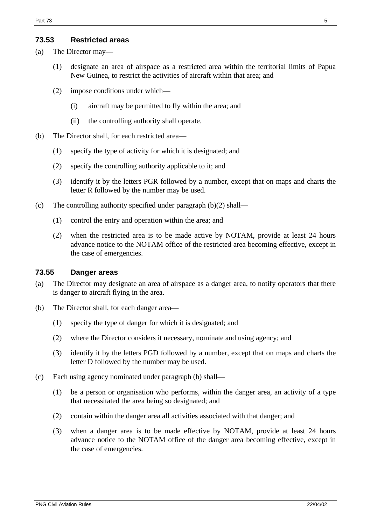#### **73.53 Restricted areas**

(a) The Director may—

- (1) designate an area of airspace as a restricted area within the territorial limits of Papua New Guinea, to restrict the activities of aircraft within that area; and
- (2) impose conditions under which—
	- (i) aircraft may be permitted to fly within the area; and
	- (ii) the controlling authority shall operate.
- (b) The Director shall, for each restricted area—
	- (1) specify the type of activity for which it is designated; and
	- (2) specify the controlling authority applicable to it; and
	- (3) identify it by the letters PGR followed by a number, except that on maps and charts the letter R followed by the number may be used.
- (c) The controlling authority specified under paragraph (b)(2) shall—
	- (1) control the entry and operation within the area; and
	- (2) when the restricted area is to be made active by NOTAM, provide at least 24 hours advance notice to the NOTAM office of the restricted area becoming effective, except in the case of emergencies.

#### **73.55 Danger areas**

- (a) The Director may designate an area of airspace as a danger area, to notify operators that there is danger to aircraft flying in the area.
- (b) The Director shall, for each danger area—
	- (1) specify the type of danger for which it is designated; and
	- (2) where the Director considers it necessary, nominate and using agency; and
	- (3) identify it by the letters PGD followed by a number, except that on maps and charts the letter D followed by the number may be used.
- (c) Each using agency nominated under paragraph (b) shall—
	- (1) be a person or organisation who performs, within the danger area, an activity of a type that necessitated the area being so designated; and
	- (2) contain within the danger area all activities associated with that danger; and
	- (3) when a danger area is to be made effective by NOTAM, provide at least 24 hours advance notice to the NOTAM office of the danger area becoming effective, except in the case of emergencies.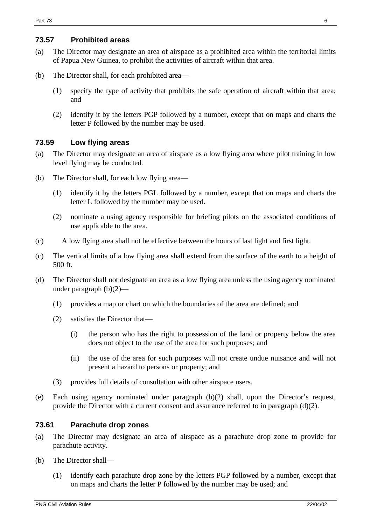#### **73.57 Prohibited areas**

- (a) The Director may designate an area of airspace as a prohibited area within the territorial limits of Papua New Guinea, to prohibit the activities of aircraft within that area.
- (b) The Director shall, for each prohibited area—
	- (1) specify the type of activity that prohibits the safe operation of aircraft within that area; and
	- (2) identify it by the letters PGP followed by a number, except that on maps and charts the letter P followed by the number may be used.

#### **73.59 Low flying areas**

- (a) The Director may designate an area of airspace as a low flying area where pilot training in low level flying may be conducted.
- (b) The Director shall, for each low flying area—
	- (1) identify it by the letters PGL followed by a number, except that on maps and charts the letter L followed by the number may be used.
	- (2) nominate a using agency responsible for briefing pilots on the associated conditions of use applicable to the area.
- (c) A low flying area shall not be effective between the hours of last light and first light.
- (c) The vertical limits of a low flying area shall extend from the surface of the earth to a height of 500 ft.
- (d) The Director shall not designate an area as a low flying area unless the using agency nominated under paragraph (b)(2)—
	- (1) provides a map or chart on which the boundaries of the area are defined; and
	- (2) satisfies the Director that—
		- (i) the person who has the right to possession of the land or property below the area does not object to the use of the area for such purposes; and
		- (ii) the use of the area for such purposes will not create undue nuisance and will not present a hazard to persons or property; and
	- (3) provides full details of consultation with other airspace users.
- (e) Each using agency nominated under paragraph (b)(2) shall, upon the Director's request, provide the Director with a current consent and assurance referred to in paragraph (d)(2).

#### **73.61 Parachute drop zones**

- (a) The Director may designate an area of airspace as a parachute drop zone to provide for parachute activity.
- (b) The Director shall—
	- (1) identify each parachute drop zone by the letters PGP followed by a number, except that on maps and charts the letter P followed by the number may be used; and